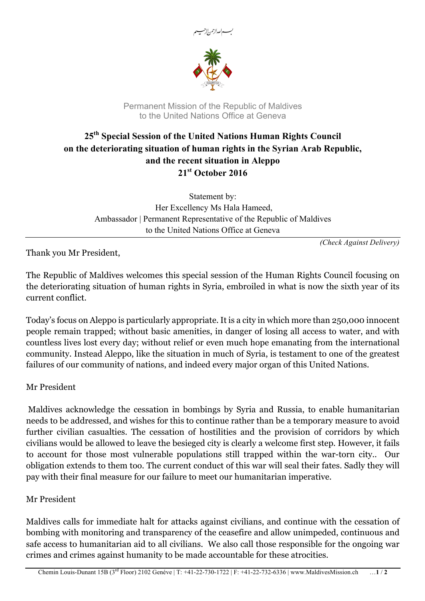



Permanent Mission of the Republic of Maldives to the United Nations Office at Geneva

## **25th Special Session of the United Nations Human Rights Council on the deteriorating situation of human rights in the Syrian Arab Republic, and the recent situation in Aleppo 21st October 2016**

Statement by: Her Excellency Ms Hala Hameed, Ambassador | Permanent Representative of the Republic of Maldives to the United Nations Office at Geneva

*(Check Against Delivery)*

Thank you Mr President,

The Republic of Maldives welcomes this special session of the Human Rights Council focusing on the deteriorating situation of human rights in Syria, embroiled in what is now the sixth year of its current conflict.

Today's focus on Aleppo is particularly appropriate. It is a city in which more than 250,000 innocent people remain trapped; without basic amenities, in danger of losing all access to water, and with countless lives lost every day; without relief or even much hope emanating from the international community. Instead Aleppo, like the situation in much of Syria, is testament to one of the greatest failures of our community of nations, and indeed every major organ of this United Nations.

## Mr President

Maldives acknowledge the cessation in bombings by Syria and Russia, to enable humanitarian needs to be addressed, and wishes for this to continue rather than be a temporary measure to avoid further civilian casualties. The cessation of hostilities and the provision of corridors by which civilians would be allowed to leave the besieged city is clearly a welcome first step. However, it fails to account for those most vulnerable populations still trapped within the war-torn city.. Our obligation extends to them too. The current conduct of this war will seal their fates. Sadly they will pay with their final measure for our failure to meet our humanitarian imperative.

## Mr President

Maldives calls for immediate halt for attacks against civilians, and continue with the cessation of bombing with monitoring and transparency of the ceasefire and allow unimpeded, continuous and safe access to humanitarian aid to all civilians. We also call those responsible for the ongoing war crimes and crimes against humanity to be made accountable for these atrocities.